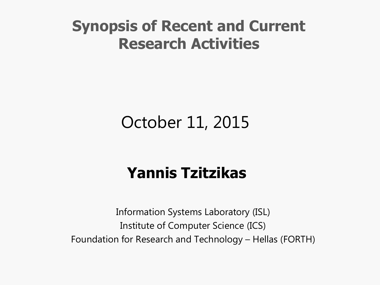# **Synopsis of Recent and Current Research Activities**

# October 11, 2015

# **Yannis Tzitzikas**

Information Systems Laboratory (ISL) Institute of Computer Science (ICS) Foundation for Research and Technology – Hellas (FORTH)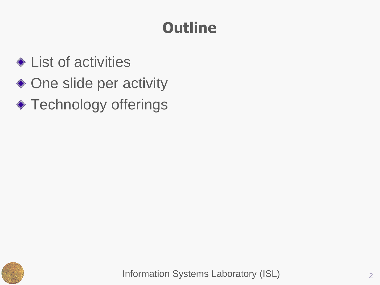# **Outline**

- **Exercise Exercise** the List of activities
- ◆ One slide per activity
- ◆ Technology offerings

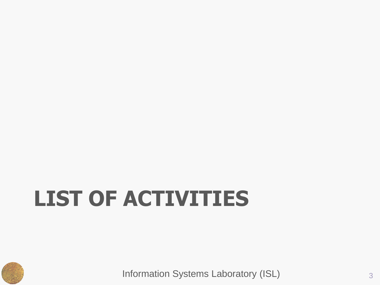# **LIST OF ACTIVITIES**

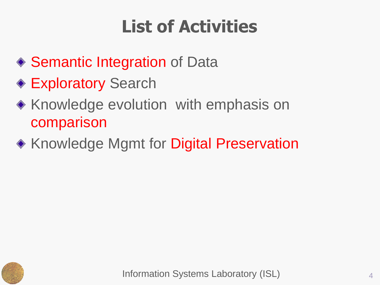# **List of Activities**

- ◆ Semantic Integration of Data
- **Exploratory Search**
- ◆ Knowledge evolution with emphasis on comparison
- ◆ Knowledge Mgmt for Digital Preservation

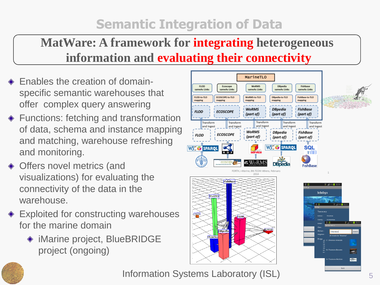## **Semantic Integration of Data**

## **MatWare: A framework for integrating heterogeneous information and evaluating their connectivity**

- **Enables the creation of domain**specific semantic warehouses that offer complex query answering
- **E** Functions: fetching and transformation of data, schema and instance mapping and matching, warehouse refreshing and monitoring.
- ◆ Offers novel metrics (and visualizations) for evaluating the connectivity of the data in the warehouse.
- **Exploited for constructing warehouses** for the marine domain
	- ◆ iMarine project, BlueBRIDGE project (ongoing)





#### Information Systems Laboratory (ISL) **Fig. 2.1.** 5

Back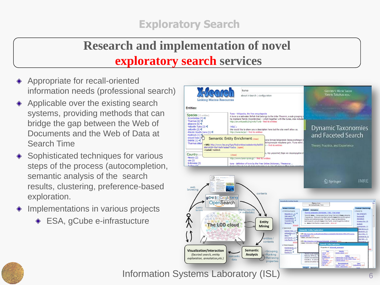#### **Exploratory Search**

## **Research and implementation of novel exploratory search services**

- Appropriate for recall-oriented information needs (professional search)
- Applicable over the existing search systems, providing methods that can bridge the gap between the Web of Documents and the Web of Data at Search Time
- Sophisticated techniques for various steps of the process (autocompletion, semantic analysis of the search results, clustering, preference-based exploration.
- Implementations in various projects
	- ◆ ESA, gCube e-infrastucture



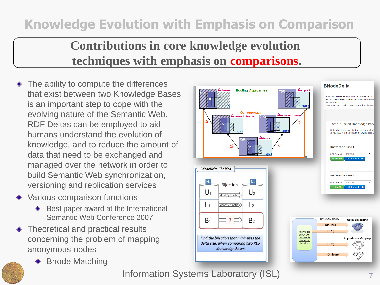## **Knowledge Evolution with Emphasis on Comparison**

### **Contributions in core knowledge evolution techniques with emphasis on comparisons.**

- The ability to compute the differences that exist between two Knowledge Bases is an important step to cope with the evolving nature of the Semantic Web. RDF Deltas can be employed to aid humans understand the evolution of knowledge, and to reduce the amount of data that need to be exchanged and managed over the network in order to build Semantic Web synchronization, versioning and replication services
- Various comparison functions
	- ♦ Best paper award at the International Semantic Web Conference 2007
- Theoretical and practical results ◈ concerning the problem of mapping anonymous nodes
	- ♦ Bnode Matching

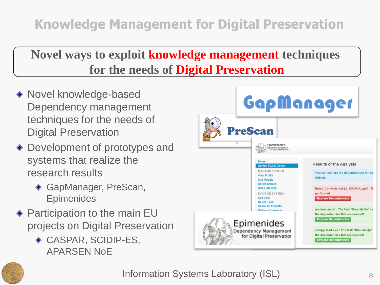## **Novel ways to exploit knowledge management techniques for the needs of Digital Preservation**

- ◆ Novel knowledge-based Dependency management techniques for the needs of Digital Preservation
- ◆ Development of prototypes and systems that realize the research results
	- ◆ GapManager, PreScan, **Epimenides**
- ◆ Participation to the main EU projects on Digital Preservation
	- CASPAR, SCIDIP-ES, APARSEN NoE



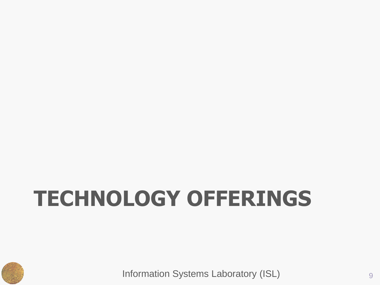# **TECHNOLOGY OFFERINGS**

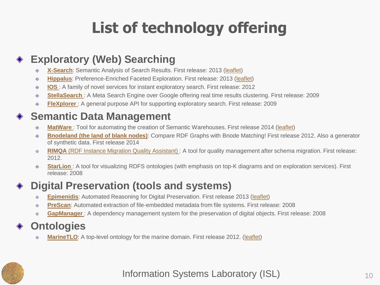# **List of technology offering**

#### **Exploratory (Web) Searching**

- **[X-Search](http://139.91.183.72/x-search/)**: Semantic Analysis of Search Results. First release: 2013 ([leaflet\)](http://users.ics.forth.gr/~tzitzik/products/X-Search.pdf)  $\bigoplus$
- **[Hippalus](http://www.ics.forth.gr/isl/Hippalus)**: Preference-Enriched Faceted Exploration. First release: 2013 ([leaflet](http://users.ics.forth.gr/~tzitzik/products/Hippalus.pdf))  $\bigoplus$
- **[IOS](http://www.ics.forth.gr/isl/ios)** [:](http://www.ics.forth.gr/isl/ios) A family of novel services for instant exploratory search. First release: 2012  $\bigoplus$
- **[StellaSearch](http://groogle.csd.uoc.gr:8080/google/google.jsp)** [:](http://groogle.csd.uoc.gr:8080/google/google.jsp) A Meta Search Engine over Google offering real time results clustering. First release: 2009  $\bigoplus$
- **[FleXplorer](http://users.ics.forth.gr/~tzitzik/flexplorer/index.html)** : A general purpose API for supporting exploratory search. First release: 2009  $\bigoplus$

#### **Semantic Data Management**

- **[MatWare](http://www.ics.forth.gr/isl/MatWare/)** : Tool for automating the creation of Semantic Warehouses. First release 2014 ([leaflet\)](http://users.ics.forth.gr/~tzitzik/products/MatWare.pdf)  $\bigoplus$
- **[Bnodeland](http://www.ics.forth.gr/isl/bnodeland) [\(the land of blank nodes\)](http://www.ics.forth.gr/isl/bnodeland)**: Compare RDF Graphs with Bnode Matching! First release 2012. Also a generator  $\bigoplus$ of synthetic data. First release 2014
- **[RIMQA](http://www.ics.forth.gr/isl/RIMQA/)** [\(RDF Instance Migration Quality Assistant\)](http://www.ics.forth.gr/isl/RIMQA/) : A tool for quality management after schema migration. First release:  $\bigoplus$ 2012.
- **[StarLion](http://www.ics.forth.gr/isl/starlion/)**: A tool for visualizing RDFS ontologies (with emphasis on top-K diagrams and on exploration services). First  $\bigoplus$ release: 2008

#### **Digital Preservation (tools and systems)**

- **[Epimenidis](http://www.ics.forth.gr/isl/epimenides)**: Automated Reasoning for Digital Preservation. First release 2013 [\(leaflet\)](http://users.ics.forth.gr/~tzitzik/products/Epimenides.pdf)  $\ddot{\Phi}$
- **[PreScan](http://www.ics.forth.gr/isl/PreScan/)**: Automated extraction of file-embedded metadata from file systems. First release: 2008  $\ddot{\Phi}$
- **[GapManager](http://athena.ics.forth.gr:9090/Applications/GapManager/)** : A dependency management system for the preservation of digital objects. First release: 2008  $\ddot{\Phi}$

#### **Ontologies**

**[MarineTLO](http://www.ics.forth.gr/isl/MarineTLO/):** A top-level ontology for the marine domain. First release 2012. [\(leaflet\)](http://users.ics.forth.gr/~tzitzik/products/MarineTLO)  $\ddot{\Phi}$